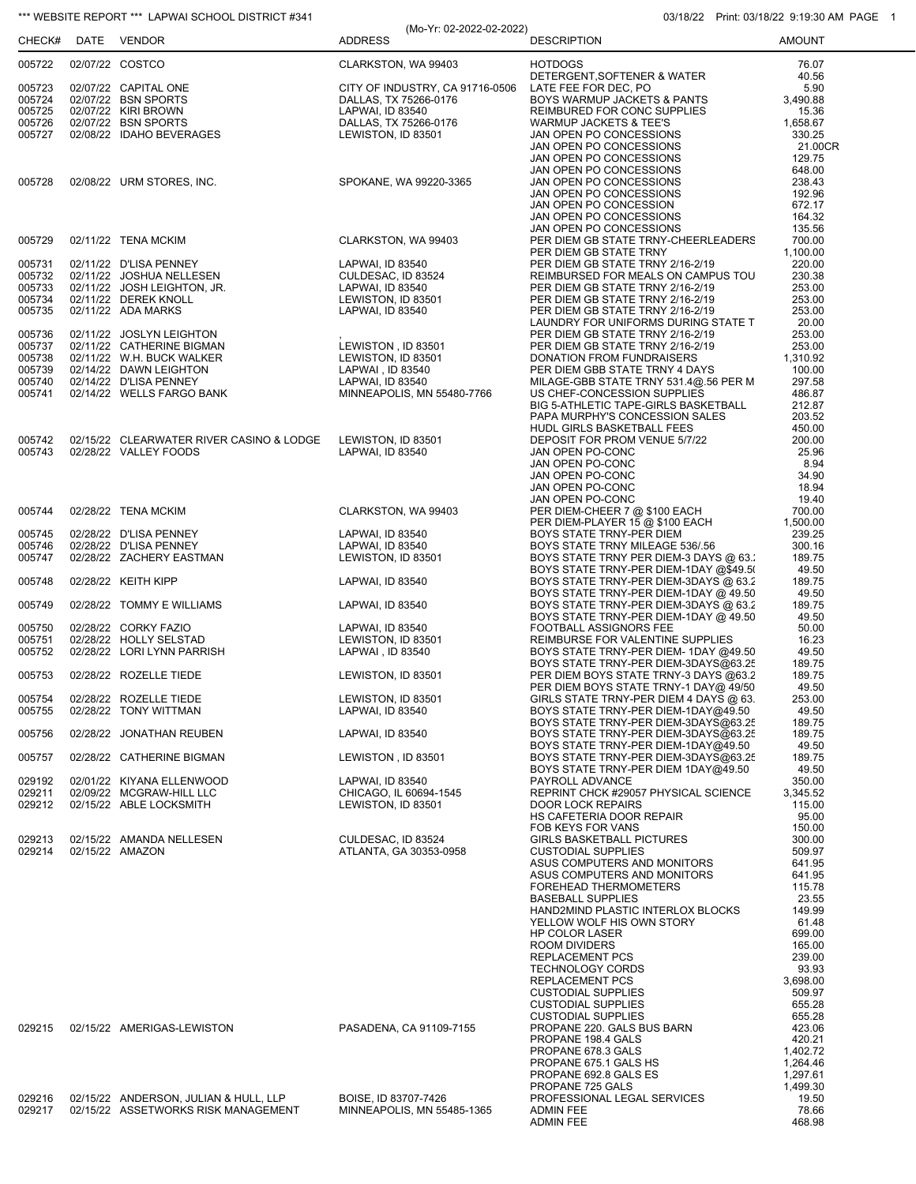|                  |                                                         | (Mo-Yr: 02-2022-02-2022)                     |                                                                                 | 1.11111.000110122.0010011111 |
|------------------|---------------------------------------------------------|----------------------------------------------|---------------------------------------------------------------------------------|------------------------------|
| CHECK#           | DATE VENDOR                                             | <b>ADDRESS</b>                               | <b>DESCRIPTION</b>                                                              | <b>AMOUNT</b>                |
| 005722           | 02/07/22 COSTCO                                         | CLARKSTON, WA 99403                          | <b>HOTDOGS</b><br>DETERGENT, SOFTENER & WATER                                   | 76.07                        |
| 005723           | 02/07/22 CAPITAL ONE                                    | CITY OF INDUSTRY, CA 91716-0506              | LATE FEE FOR DEC, PO                                                            | 40.56<br>5.90                |
| 005724           | 02/07/22 BSN SPORTS                                     | DALLAS, TX 75266-0176                        | BOYS WARMUP JACKETS & PANTS                                                     | 3.490.88                     |
| 005725<br>005726 | 02/07/22 KIRI BROWN<br>02/07/22 BSN SPORTS              | LAPWAI, ID 83540<br>DALLAS, TX 75266-0176    | REIMBURED FOR CONC SUPPLIES<br><b>WARMUP JACKETS &amp; TEE'S</b>                | 15.36<br>1,658.67            |
| 005727           | 02/08/22 IDAHO BEVERAGES                                | LEWISTON, ID 83501                           | JAN OPEN PO CONCESSIONS                                                         | 330.25                       |
|                  |                                                         |                                              | JAN OPEN PO CONCESSIONS                                                         | 21.00CR<br>129.75            |
|                  |                                                         |                                              | JAN OPEN PO CONCESSIONS<br>JAN OPEN PO CONCESSIONS                              | 648.00                       |
| 005728           | 02/08/22 URM STORES, INC.                               | SPOKANE, WA 99220-3365                       | JAN OPEN PO CONCESSIONS                                                         | 238.43                       |
|                  |                                                         |                                              | JAN OPEN PO CONCESSIONS<br>JAN OPEN PO CONCESSION                               | 192.96<br>672.17             |
|                  |                                                         |                                              | JAN OPEN PO CONCESSIONS                                                         | 164.32                       |
|                  | 02/11/22 TENA MCKIM                                     | CLARKSTON, WA 99403                          | JAN OPEN PO CONCESSIONS<br>PER DIEM GB STATE TRNY-CHEERLEADERS                  | 135.56<br>700.00             |
| 005729           |                                                         |                                              | PER DIEM GB STATE TRNY                                                          | 1,100.00                     |
| 005731           | 02/11/22 D'LISA PENNEY                                  | LAPWAI, ID 83540                             | PER DIEM GB STATE TRNY 2/16-2/19                                                | 220.00                       |
| 005732<br>005733 | 02/11/22 JOSHUA NELLESEN<br>02/11/22 JOSH LEIGHTON, JR. | CULDESAC, ID 83524<br>LAPWAI, ID 83540       | REIMBURSED FOR MEALS ON CAMPUS TOU<br>PER DIEM GB STATE TRNY 2/16-2/19          | 230.38<br>253.00             |
| 005734           | 02/11/22 DEREK KNOLL                                    | LEWISTON, ID 83501                           | PER DIEM GB STATE TRNY 2/16-2/19                                                | 253.00                       |
| 005735           | 02/11/22 ADA MARKS                                      | LAPWAI, ID 83540                             | PER DIEM GB STATE TRNY 2/16-2/19                                                | 253.00                       |
| 005736           | 02/11/22 JOSLYN LEIGHTON                                |                                              | LAUNDRY FOR UNIFORMS DURING STATE T<br>PER DIEM GB STATE TRNY 2/16-2/19         | 20.00<br>253.00              |
| 005737           | 02/11/22 CATHERINE BIGMAN                               | LEWISTON, ID 83501                           | PER DIEM GB STATE TRNY 2/16-2/19                                                | 253.00                       |
| 005738<br>005739 | 02/11/22 W.H. BUCK WALKER<br>02/14/22 DAWN LEIGHTON     | LEWISTON, ID 83501<br>LAPWAI, ID 83540       | DONATION FROM FUNDRAISERS<br>PER DIEM GBB STATE TRNY 4 DAYS                     | 1,310.92<br>100.00           |
| 005740           | 02/14/22 D'LISA PENNEY                                  | LAPWAI, ID 83540                             | MILAGE-GBB STATE TRNY 531.4@.56 PER M                                           | 297.58                       |
| 005741           | 02/14/22 WELLS FARGO BANK                               | MINNEAPOLIS, MN 55480-7766                   | US CHEF-CONCESSION SUPPLIES                                                     | 486.87                       |
|                  |                                                         |                                              | BIG 5-ATHLETIC TAPE-GIRLS BASKETBALL<br>PAPA MURPHY'S CONCESSION SALES          | 212.87<br>203.52             |
|                  |                                                         |                                              | HUDL GIRLS BASKETBALL FEES                                                      | 450.00                       |
| 005742<br>005743 | 02/15/22 CLEARWATER RIVER CASINO & LODGE                | LEWISTON, ID 83501                           | DEPOSIT FOR PROM VENUE 5/7/22                                                   | 200.00                       |
|                  | 02/28/22 VALLEY FOODS                                   | LAPWAI, ID 83540                             | JAN OPEN PO-CONC<br>JAN OPEN PO-CONC                                            | 25.96<br>8.94                |
|                  |                                                         |                                              | JAN OPEN PO-CONC                                                                | 34.90                        |
|                  |                                                         |                                              | JAN OPEN PO-CONC<br>JAN OPEN PO-CONC                                            | 18.94<br>19.40               |
| 005744           | 02/28/22 TENA MCKIM                                     | CLARKSTON, WA 99403                          | PER DIEM-CHEER 7 @ \$100 EACH                                                   | 700.00                       |
|                  |                                                         |                                              | PER DIEM-PLAYER 15 @ \$100 EACH                                                 | 1,500.00                     |
| 005745<br>005746 | 02/28/22 D'LISA PENNEY<br>02/28/22 D'LISA PENNEY        | LAPWAI, ID 83540<br>LAPWAI, ID 83540         | BOYS STATE TRNY-PER DIEM<br>BOYS STATE TRNY MILEAGE 536/.56                     | 239.25<br>300.16             |
| 005747           | 02/28/22 ZACHERY EASTMAN                                | LEWISTON, ID 83501                           | BOYS STATE TRNY PER DIEM-3 DAYS @ 63.                                           | 189.75                       |
| 005748           | 02/28/22 KEITH KIPP                                     | LAPWAI, ID 83540                             | BOYS STATE TRNY-PER DIEM-1DAY @\$49.5(<br>BOYS STATE TRNY-PER DIEM-3DAYS @ 63.2 | 49.50<br>189.75              |
| 005749           | 02/28/22 TOMMY E WILLIAMS                               | LAPWAI, ID 83540                             | BOYS STATE TRNY-PER DIEM-1DAY @ 49.50<br>BOYS STATE TRNY-PER DIEM-3DAYS @ 63.2  | 49.50<br>189.75              |
|                  |                                                         |                                              | BOYS STATE TRNY-PER DIEM-1DAY @ 49.50                                           | 49.50                        |
| 005750<br>005751 | 02/28/22 CORKY FAZIO<br>02/28/22 HOLLY SELSTAD          | LAPWAI, ID 83540<br>LEWISTON, ID 83501       | FOOTBALL ASSIGNORS FEE<br>REIMBURSE FOR VALENTINE SUPPLIES                      | 50.00<br>16.23               |
| 005752           | 02/28/22 LORI LYNN PARRISH                              | LAPWAI, ID 83540                             | BOYS STATE TRNY-PER DIEM- 1DAY @49.50                                           | 49.50                        |
| 005753           | 02/28/22 ROZELLE TIEDE                                  | LEWISTON, ID 83501                           | BOYS STATE TRNY-PER DIEM-3DAYS@63.25<br>PER DIEM BOYS STATE TRNY-3 DAYS @63.2   | 189.75<br>189.75             |
|                  |                                                         |                                              | PER DIEM BOYS STATE TRNY-1 DAY@ 49/50                                           | 49.50                        |
| 005754<br>005755 | 02/28/22 ROZELLE TIEDE<br>02/28/22 TONY WITTMAN         | LEWISTON, ID 83501<br>LAPWAI, ID 83540       | GIRLS STATE TRNY-PER DIEM 4 DAYS @ 63.<br>BOYS STATE TRNY-PER DIEM-1DAY@49.50   | 253.00<br>49.50              |
| 005756           | 02/28/22 JONATHAN REUBEN                                | LAPWAI. ID 83540                             | BOYS STATE TRNY-PER DIEM-3DAYS@63.25<br>BOYS STATE TRNY-PER DIEM-3DAYS@63.25    | 189.75<br>189.75             |
|                  |                                                         |                                              | BOYS STATE TRNY-PER DIEM-1DAY@49.50<br>BOYS STATE TRNY-PER DIEM-3DAYS@63.25     | 49.50                        |
| 005757           | 02/28/22 CATHERINE BIGMAN                               | LEWISTON, ID 83501                           | BOYS STATE TRNY-PER DIEM 1DAY@49.50                                             | 189.75<br>49.50              |
| 029192           | 02/01/22 KIYANA ELLENWOOD                               | LAPWAI, ID 83540                             | PAYROLL ADVANCE                                                                 | 350.00                       |
| 029211<br>029212 | 02/09/22 MCGRAW-HILL LLC<br>02/15/22 ABLE LOCKSMITH     | CHICAGO, IL 60694-1545<br>LEWISTON, ID 83501 | REPRINT CHCK #29057 PHYSICAL SCIENCE<br><b>DOOR LOCK REPAIRS</b>                | 3,345.52<br>115.00           |
|                  |                                                         |                                              | HS CAFETERIA DOOR REPAIR                                                        | 95.00                        |
| 029213           | 02/15/22 AMANDA NELLESEN                                | CULDESAC, ID 83524                           | FOB KEYS FOR VANS<br><b>GIRLS BASKETBALL PICTURES</b>                           | 150.00<br>300.00             |
| 029214           | 02/15/22 AMAZON                                         | ATLANTA, GA 30353-0958                       | <b>CUSTODIAL SUPPLIES</b>                                                       | 509.97                       |
|                  |                                                         |                                              | ASUS COMPUTERS AND MONITORS                                                     | 641.95                       |
|                  |                                                         |                                              | ASUS COMPUTERS AND MONITORS<br>FOREHEAD THERMOMETERS                            | 641.95<br>115.78             |
|                  |                                                         |                                              | <b>BASEBALL SUPPLIES</b>                                                        | 23.55                        |
|                  |                                                         |                                              | HAND2MIND PLASTIC INTERLOX BLOCKS                                               | 149.99                       |
|                  |                                                         |                                              | YELLOW WOLF HIS OWN STORY<br>HP COLOR LASER                                     | 61.48<br>699.00              |
|                  |                                                         |                                              | ROOM DIVIDERS                                                                   | 165.00                       |
|                  |                                                         |                                              | <b>REPLACEMENT PCS</b>                                                          | 239.00                       |
|                  |                                                         |                                              | <b>TECHNOLOGY CORDS</b><br>REPLACEMENT PCS                                      | 93.93<br>3,698.00            |
|                  |                                                         |                                              | <b>CUSTODIAL SUPPLIES</b>                                                       | 509.97                       |
|                  |                                                         |                                              | <b>CUSTODIAL SUPPLIES</b><br><b>CUSTODIAL SUPPLIES</b>                          | 655.28<br>655.28             |
| 029215           | 02/15/22 AMERIGAS-LEWISTON                              | PASADENA, CA 91109-7155                      | PROPANE 220. GALS BUS BARN                                                      | 423.06                       |
|                  |                                                         |                                              | PROPANE 198.4 GALS                                                              | 420.21                       |
|                  |                                                         |                                              | PROPANE 678.3 GALS<br>PROPANE 675.1 GALS HS                                     | 1,402.72<br>1,264.46         |
|                  |                                                         |                                              | PROPANE 692.8 GALS ES                                                           | 1,297.61                     |
| 029216           | 02/15/22 ANDERSON, JULIAN & HULL, LLP                   | BOISE, ID 83707-7426                         | PROPANE 725 GALS<br>PROFESSIONAL LEGAL SERVICES                                 | 1,499.30<br>19.50            |
| 029217           | 02/15/22 ASSETWORKS RISK MANAGEMENT                     | MINNEAPOLIS, MN 55485-1365                   | <b>ADMIN FEE</b>                                                                | 78.66                        |
|                  |                                                         |                                              | <b>ADMIN FEE</b>                                                                | 468.98                       |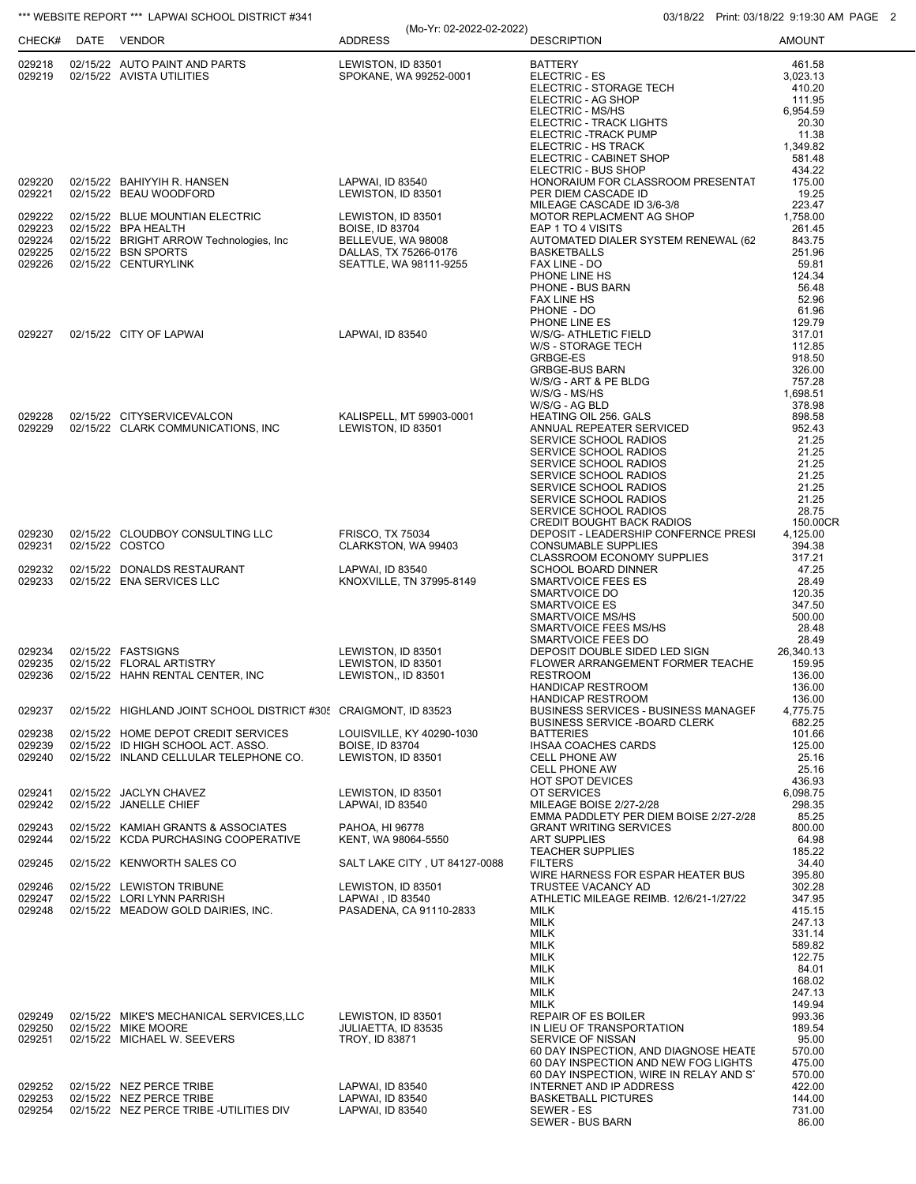|                  | CHECK# DATE VENDOR |                                                                             | (Mo-Yr: 02-2022-02-2022)<br><b>ADDRESS</b>          | <b>DESCRIPTION</b>                                                              | $1 \text{ m.t. } 00110122 \cdot 0.10001111$<br><b>AMOUNT</b> |
|------------------|--------------------|-----------------------------------------------------------------------------|-----------------------------------------------------|---------------------------------------------------------------------------------|--------------------------------------------------------------|
|                  |                    | 029218 02/15/22 AUTO PAINT AND PARTS<br>029219 02/15/22 AVISTA UTILITIES    | LEWISTON, ID 83501<br>SPOKANE, WA 99252-0001        | <b>BATTERY</b><br>ELECTRIC - ES<br>ELECTRIC - STORAGE TECH                      | 461.58<br>3,023.13<br>410.20                                 |
|                  |                    |                                                                             |                                                     | ELECTRIC - AG SHOP<br>ELECTRIC - MS/HS                                          | 111.95<br>6,954.59                                           |
|                  |                    |                                                                             |                                                     | ELECTRIC - TRACK LIGHTS                                                         | 20.30                                                        |
|                  |                    |                                                                             |                                                     | ELECTRIC -TRACK PUMP<br>ELECTRIC - HS TRACK                                     | 11.38<br>1,349.82                                            |
|                  |                    |                                                                             |                                                     | ELECTRIC - CABINET SHOP                                                         | 581.48                                                       |
| 029220           |                    | 02/15/22 BAHIYYIH R. HANSEN                                                 | LAPWAI, ID 83540                                    | ELECTRIC - BUS SHOP<br>HONORAIUM FOR CLASSROOM PRESENTAT                        | 434.22<br>175.00                                             |
| 029221           |                    | 02/15/22 BEAU WOODFORD                                                      | LEWISTON, ID 83501                                  | PER DIEM CASCADE ID                                                             | 19.25                                                        |
| 029222           |                    | 02/15/22 BLUE MOUNTIAN ELECTRIC                                             | LEWISTON, ID 83501                                  | MILEAGE CASCADE ID 3/6-3/8<br>MOTOR REPLACMENT AG SHOP                          | 223.47<br>1,758.00                                           |
| 029223           |                    | 02/15/22 BPA HEALTH                                                         | <b>BOISE, ID 83704</b>                              | EAP 1 TO 4 VISITS                                                               | 261.45                                                       |
| 029224<br>029225 |                    | 02/15/22 BRIGHT ARROW Technologies, Inc<br>02/15/22 BSN SPORTS              | BELLEVUE, WA 98008<br>DALLAS, TX 75266-0176         | AUTOMATED DIALER SYSTEM RENEWAL (62<br><b>BASKETBALLS</b>                       | 843.75<br>251.96                                             |
| 029226           |                    | 02/15/22 CENTURYLINK                                                        | SEATTLE, WA 98111-9255                              | FAX LINE - DO                                                                   | 59.81                                                        |
|                  |                    |                                                                             |                                                     | PHONE LINE HS<br>PHONE - BUS BARN                                               | 124.34<br>56.48                                              |
|                  |                    |                                                                             |                                                     | FAX LINE HS                                                                     | 52.96                                                        |
|                  |                    |                                                                             |                                                     | PHONE - DO<br>PHONE LINE ES                                                     | 61.96<br>129.79                                              |
| 029227           |                    | 02/15/22 CITY OF LAPWAI                                                     | LAPWAI, ID 83540                                    | W/S/G- ATHLETIC FIELD<br>W/S - STORAGE TECH                                     | 317.01<br>112.85                                             |
|                  |                    |                                                                             |                                                     | GRBGE-ES                                                                        | 918.50                                                       |
|                  |                    |                                                                             |                                                     | <b>GRBGE-BUS BARN</b><br>W/S/G - ART & PE BLDG                                  | 326.00<br>757.28                                             |
|                  |                    |                                                                             |                                                     | W/S/G - MS/HS                                                                   | 1,698.51                                                     |
| 029228           |                    | 02/15/22 CITYSERVICEVALCON                                                  | KALISPELL, MT 59903-0001                            | W/S/G - AG BLD<br>HEATING OIL 256. GALS                                         | 378.98<br>898.58                                             |
| 029229           |                    | 02/15/22 CLARK COMMUNICATIONS, INC                                          | LEWISTON, ID 83501                                  | ANNUAL REPEATER SERVICED                                                        | 952.43                                                       |
|                  |                    |                                                                             |                                                     | SERVICE SCHOOL RADIOS<br>SERVICE SCHOOL RADIOS                                  | 21.25<br>21.25                                               |
|                  |                    |                                                                             |                                                     | SERVICE SCHOOL RADIOS                                                           | 21.25                                                        |
|                  |                    |                                                                             |                                                     | SERVICE SCHOOL RADIOS<br>SERVICE SCHOOL RADIOS                                  | 21.25<br>21.25                                               |
|                  |                    |                                                                             |                                                     | SERVICE SCHOOL RADIOS                                                           | 21.25                                                        |
|                  |                    |                                                                             |                                                     | SERVICE SCHOOL RADIOS<br>CREDIT BOUGHT BACK RADIOS                              | 28.75<br>150.00CR                                            |
| 029230           |                    | 02/15/22 CLOUDBOY CONSULTING LLC                                            | <b>FRISCO, TX 75034</b>                             | DEPOSIT - LEADERSHIP CONFERNCE PRESI                                            | 4,125.00                                                     |
| 029231           |                    | 02/15/22 COSTCO                                                             | CLARKSTON, WA 99403                                 | <b>CONSUMABLE SUPPLIES</b><br>CLASSROOM ECONOMY SUPPLIES                        | 394.38<br>317.21                                             |
| 029232<br>029233 |                    | 02/15/22 DONALDS RESTAURANT<br>02/15/22 ENA SERVICES LLC                    | LAPWAI, ID 83540<br>KNOXVILLE, TN 37995-8149        | SCHOOL BOARD DINNER<br>SMARTVOICE FEES ES                                       | 47.25<br>28.49                                               |
|                  |                    |                                                                             |                                                     | SMARTVOICE DO                                                                   | 120.35                                                       |
|                  |                    |                                                                             |                                                     | <b>SMARTVOICE ES</b><br>SMARTVOICE MS/HS                                        | 347.50<br>500.00                                             |
|                  |                    |                                                                             |                                                     | SMARTVOICE FEES MS/HS                                                           | 28.48                                                        |
| 029234           |                    | 02/15/22 FASTSIGNS                                                          | LEWISTON, ID 83501                                  | SMARTVOICE FEES DO<br>DEPOSIT DOUBLE SIDED LED SIGN                             | 28.49<br>26,340.13                                           |
| 029235           |                    | 02/15/22 FLORAL ARTISTRY                                                    | LEWISTON, ID 83501                                  | FLOWER ARRANGEMENT FORMER TEACHE                                                | 159.95                                                       |
| 029236           |                    | 02/15/22 HAHN RENTAL CENTER, INC                                            | LEWISTON,, ID 83501                                 | <b>RESTROOM</b><br>HANDICAP RESTROOM                                            | 136.00<br>136.00                                             |
|                  |                    |                                                                             |                                                     | <b>HANDICAP RESTROOM</b><br><b>BUSINESS SERVICES - BUSINESS MANAGEF</b>         | 136.00                                                       |
| 029237           |                    | 02/15/22 HIGHLAND JOINT SCHOOL DISTRICT #305 CRAIGMONT, ID 83523            |                                                     | <b>BUSINESS SERVICE - BOARD CLERK</b>                                           | 4,775.75<br>682.25                                           |
| 029238<br>029239 |                    | 02/15/22 HOME DEPOT CREDIT SERVICES<br>02/15/22 ID HIGH SCHOOL ACT. ASSO.   | LOUISVILLE, KY 40290-1030<br><b>BOISE, ID 83704</b> | <b>BATTERIES</b><br><b>IHSAA COACHES CARDS</b>                                  | 101.66<br>125.00                                             |
| 029240           |                    | 02/15/22 INLAND CELLULAR TELEPHONE CO.                                      | LEWISTON, ID 83501                                  | <b>CELL PHONE AW</b>                                                            | 25.16                                                        |
|                  |                    |                                                                             |                                                     | <b>CELL PHONE AW</b><br><b>HOT SPOT DEVICES</b>                                 | 25.16<br>436.93                                              |
| 029241           |                    | 02/15/22 JACLYN CHAVEZ                                                      | LEWISTON, ID 83501                                  | OT SERVICES                                                                     | 6.098.75                                                     |
| 029242           |                    | 02/15/22 JANELLE CHIEF                                                      | LAPWAI, ID 83540                                    | MILEAGE BOISE 2/27-2/28<br>EMMA PADDLETY PER DIEM BOISE 2/27-2/28               | 298.35<br>85.25                                              |
| 029243<br>029244 |                    | 02/15/22 KAMIAH GRANTS & ASSOCIATES<br>02/15/22 KCDA PURCHASING COOPERATIVE | PAHOA, HI 96778                                     | <b>GRANT WRITING SERVICES</b><br><b>ART SUPPLIES</b>                            | 800.00                                                       |
|                  |                    |                                                                             | KENT, WA 98064-5550                                 | <b>TEACHER SUPPLIES</b>                                                         | 64.98<br>185.22                                              |
| 029245           |                    | 02/15/22 KENWORTH SALES CO                                                  | SALT LAKE CITY, UT 84127-0088                       | <b>FILTERS</b><br>WIRE HARNESS FOR ESPAR HEATER BUS                             | 34.40<br>395.80                                              |
| 029246           |                    | 02/15/22 LEWISTON TRIBUNE                                                   | LEWISTON, ID 83501                                  | TRUSTEE VACANCY AD                                                              | 302.28                                                       |
| 029247<br>029248 |                    | 02/15/22 LORI LYNN PARRISH<br>02/15/22 MEADOW GOLD DAIRIES, INC.            | LAPWAI, ID 83540<br>PASADENA, CA 91110-2833         | ATHLETIC MILEAGE REIMB. 12/6/21-1/27/22<br><b>MILK</b>                          | 347.95<br>415.15                                             |
|                  |                    |                                                                             |                                                     | <b>MILK</b>                                                                     | 247.13                                                       |
|                  |                    |                                                                             |                                                     | <b>MILK</b><br><b>MILK</b>                                                      | 331.14<br>589.82                                             |
|                  |                    |                                                                             |                                                     | <b>MILK</b>                                                                     | 122.75                                                       |
|                  |                    |                                                                             |                                                     | <b>MILK</b><br><b>MILK</b>                                                      | 84.01<br>168.02                                              |
|                  |                    |                                                                             |                                                     | <b>MILK</b>                                                                     | 247.13                                                       |
| 029249           |                    | 02/15/22 MIKE'S MECHANICAL SERVICES, LLC                                    | LEWISTON, ID 83501                                  | <b>MILK</b><br>REPAIR OF ES BOILER                                              | 149.94<br>993.36                                             |
| 029250<br>029251 |                    | 02/15/22 MIKE MOORE<br>02/15/22 MICHAEL W. SEEVERS                          | JULIAETTA, ID 83535<br><b>TROY, ID 83871</b>        | IN LIEU OF TRANSPORTATION<br>SERVICE OF NISSAN                                  | 189.54<br>95.00                                              |
|                  |                    |                                                                             |                                                     | 60 DAY INSPECTION, AND DIAGNOSE HEATE                                           | 570.00                                                       |
|                  |                    |                                                                             |                                                     | 60 DAY INSPECTION AND NEW FOG LIGHTS<br>60 DAY INSPECTION, WIRE IN RELAY AND ST | 475.00<br>570.00                                             |
| 029252           |                    | 02/15/22 NEZ PERCE TRIBE                                                    | LAPWAI, ID 83540                                    | INTERNET AND IP ADDRESS                                                         | 422.00                                                       |
| 029253<br>029254 |                    | 02/15/22 NEZ PERCE TRIBE<br>02/15/22 NEZ PERCE TRIBE -UTILITIES DIV         | LAPWAI, ID 83540<br>LAPWAI, ID 83540                | <b>BASKETBALL PICTURES</b><br>SEWER - ES                                        | 144.00<br>731.00                                             |
|                  |                    |                                                                             |                                                     | SEWER - BUS BARN                                                                | 86.00                                                        |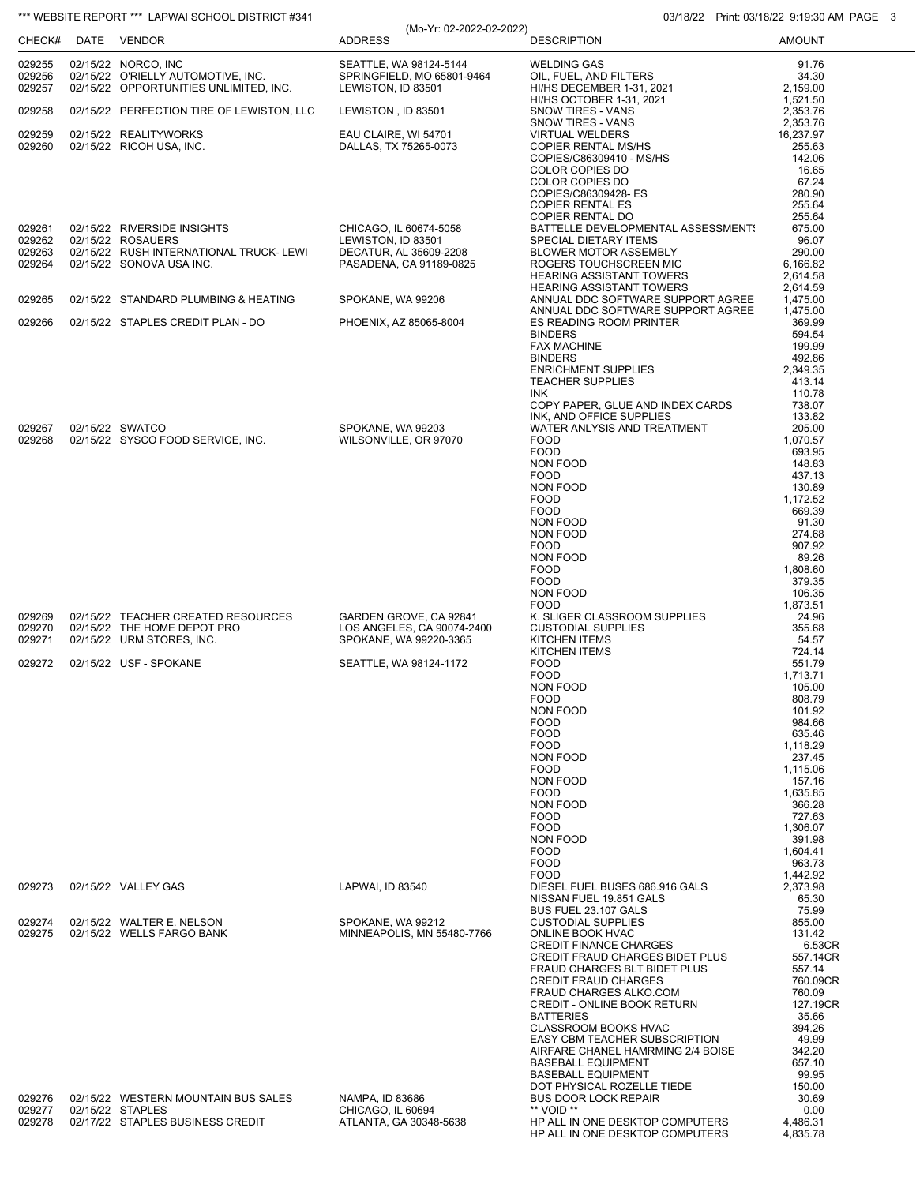|                            | CHECK# DATE VENDOR                                                                                  | (Mo-Yr: 02-2022-02-2022)<br><b>ADDRESS</b>                                 | <b>DESCRIPTION</b>                                                        | 1.11111.000110122.001001111<br><b>AMOUNT</b> |
|----------------------------|-----------------------------------------------------------------------------------------------------|----------------------------------------------------------------------------|---------------------------------------------------------------------------|----------------------------------------------|
|                            |                                                                                                     |                                                                            |                                                                           |                                              |
| 029255<br>029256<br>029257 | 02/15/22 NORCO, INC<br>02/15/22 O'RIELLY AUTOMOTIVE, INC.<br>02/15/22 OPPORTUNITIES UNLIMITED, INC. | SEATTLE, WA 98124-5144<br>SPRINGFIELD, MO 65801-9464<br>LEWISTON, ID 83501 | <b>WELDING GAS</b><br>OIL, FUEL, AND FILTERS<br>HI/HS DECEMBER 1-31, 2021 | 91.76<br>34.30<br>2,159.00                   |
| 029258                     | 02/15/22 PERFECTION TIRE OF LEWISTON, LLC                                                           | LEWISTON, ID 83501                                                         | HI/HS OCTOBER 1-31, 2021<br>SNOW TIRES - VANS                             | 1,521.50<br>2,353.76                         |
| 029259                     | 02/15/22 REALITYWORKS                                                                               | EAU CLAIRE, WI 54701                                                       | SNOW TIRES - VANS<br><b>VIRTUAL WELDERS</b>                               | 2,353.76<br>16,237.97                        |
| 029260                     | 02/15/22 RICOH USA, INC.                                                                            | DALLAS, TX 75265-0073                                                      | <b>COPIER RENTAL MS/HS</b><br>COPIES/C86309410 - MS/HS                    | 255.63<br>142.06                             |
|                            |                                                                                                     |                                                                            | COLOR COPIES DO                                                           | 16.65                                        |
|                            |                                                                                                     |                                                                            | COLOR COPIES DO<br>COPIES/C86309428-ES                                    | 67.24<br>280.90                              |
|                            |                                                                                                     |                                                                            | <b>COPIER RENTAL ES</b><br>COPIER RENTAL DO                               | 255.64<br>255.64                             |
| 029261                     | 02/15/22 RIVERSIDE INSIGHTS                                                                         | CHICAGO, IL 60674-5058                                                     | BATTELLE DEVELOPMENTAL ASSESSMENT:                                        | 675.00                                       |
| 029262<br>029263           | 02/15/22 ROSAUERS<br>02/15/22 RUSH INTERNATIONAL TRUCK- LEWI                                        | LEWISTON, ID 83501<br>DECATUR, AL 35609-2208                               | SPECIAL DIETARY ITEMS<br>BLOWER MOTOR ASSEMBLY                            | 96.07<br>290.00                              |
| 029264                     | 02/15/22 SONOVA USA INC.                                                                            | PASADENA, CA 91189-0825                                                    | ROGERS TOUCHSCREEN MIC<br><b>HEARING ASSISTANT TOWERS</b>                 | 6,166.82<br>2,614.58                         |
|                            |                                                                                                     |                                                                            | <b>HEARING ASSISTANT TOWERS</b>                                           | 2,614.59                                     |
| 029265                     | 02/15/22 STANDARD PLUMBING & HEATING                                                                | SPOKANE, WA 99206                                                          | ANNUAL DDC SOFTWARE SUPPORT AGREE<br>ANNUAL DDC SOFTWARE SUPPORT AGREE    | 1,475.00<br>1,475.00                         |
| 029266                     | 02/15/22 STAPLES CREDIT PLAN - DO                                                                   | PHOENIX, AZ 85065-8004                                                     | ES READING ROOM PRINTER                                                   | 369.99                                       |
|                            |                                                                                                     |                                                                            | <b>BINDERS</b><br><b>FAX MACHINE</b>                                      | 594.54<br>199.99                             |
|                            |                                                                                                     |                                                                            | <b>BINDERS</b><br><b>ENRICHMENT SUPPLIES</b>                              | 492.86<br>2,349.35                           |
|                            |                                                                                                     |                                                                            | <b>TEACHER SUPPLIES</b>                                                   | 413.14                                       |
|                            |                                                                                                     |                                                                            | INK<br>COPY PAPER, GLUE AND INDEX CARDS                                   | 110.78<br>738.07                             |
| 029267                     | 02/15/22 SWATCO                                                                                     | SPOKANE, WA 99203                                                          | INK, AND OFFICE SUPPLIES<br>WATER ANLYSIS AND TREATMENT                   | 133.82<br>205.00                             |
| 029268                     | 02/15/22 SYSCO FOOD SERVICE, INC.                                                                   | WILSONVILLE, OR 97070                                                      | <b>FOOD</b>                                                               | 1,070.57                                     |
|                            |                                                                                                     |                                                                            | <b>FOOD</b><br>NON FOOD                                                   | 693.95<br>148.83                             |
|                            |                                                                                                     |                                                                            | <b>FOOD</b><br>NON FOOD                                                   | 437.13<br>130.89                             |
|                            |                                                                                                     |                                                                            | <b>FOOD</b>                                                               | 1,172.52                                     |
|                            |                                                                                                     |                                                                            | <b>FOOD</b><br>NON FOOD                                                   | 669.39<br>91.30                              |
|                            |                                                                                                     |                                                                            | NON FOOD<br><b>FOOD</b>                                                   | 274.68<br>907.92                             |
|                            |                                                                                                     |                                                                            | NON FOOD                                                                  | 89.26                                        |
|                            |                                                                                                     |                                                                            | <b>FOOD</b><br><b>FOOD</b>                                                | 1,808.60<br>379.35                           |
|                            |                                                                                                     |                                                                            | NON FOOD<br><b>FOOD</b>                                                   | 106.35<br>1,873.51                           |
| 029269                     | 02/15/22 TEACHER CREATED RESOURCES                                                                  | GARDEN GROVE, CA 92841                                                     | K. SLIGER CLASSROOM SUPPLIES                                              | 24.96                                        |
| 029270<br>029271           | 02/15/22 THE HOME DEPOT PRO<br>02/15/22 URM STORES, INC.                                            | LOS ANGELES, CA 90074-2400<br>SPOKANE, WA 99220-3365                       | <b>CUSTODIAL SUPPLIES</b><br><b>KITCHEN ITEMS</b>                         | 355.68<br>54.57                              |
| 029272                     | 02/15/22 USF - SPOKANE                                                                              | SEATTLE, WA 98124-1172                                                     | KITCHEN ITEMS<br><b>FOOD</b>                                              | 724.14<br>551.79                             |
|                            |                                                                                                     |                                                                            | <b>FOOD</b>                                                               | 1,713.71                                     |
|                            |                                                                                                     |                                                                            | NON FOOD<br><b>FOOD</b>                                                   | 105.00<br>808.79                             |
|                            |                                                                                                     |                                                                            | NON FOOD<br><b>FOOD</b>                                                   | 101.92<br>984.66                             |
|                            |                                                                                                     |                                                                            | <b>FOOD</b>                                                               | 635.46                                       |
|                            |                                                                                                     |                                                                            | <b>FOOD</b><br><b>NON FOOD</b>                                            | 1,118.29<br>237.45                           |
|                            |                                                                                                     |                                                                            | <b>FOOD</b><br>NON FOOD                                                   | 1,115.06<br>157.16                           |
|                            |                                                                                                     |                                                                            | <b>FOOD</b>                                                               | 1,635.85                                     |
|                            |                                                                                                     |                                                                            | NON FOOD<br><b>FOOD</b>                                                   | 366.28<br>727.63                             |
|                            |                                                                                                     |                                                                            | <b>FOOD</b><br>NON FOOD                                                   | 1,306.07<br>391.98                           |
|                            |                                                                                                     |                                                                            | <b>FOOD</b>                                                               | 1,604.41                                     |
|                            |                                                                                                     |                                                                            | <b>FOOD</b><br><b>FOOD</b>                                                | 963.73<br>1,442.92                           |
| 029273                     | 02/15/22 VALLEY GAS                                                                                 | LAPWAI, ID 83540                                                           | DIESEL FUEL BUSES 686.916 GALS<br>NISSAN FUEL 19.851 GALS                 | 2,373.98<br>65.30                            |
|                            |                                                                                                     |                                                                            | BUS FUEL 23.107 GALS                                                      | 75.99                                        |
| 029274<br>029275           | 02/15/22 WALTER E. NELSON<br>02/15/22 WELLS FARGO BANK                                              | SPOKANE, WA 99212<br>MINNEAPOLIS, MN 55480-7766                            | <b>CUSTODIAL SUPPLIES</b><br>ONLINE BOOK HVAC                             | 855.00<br>131.42                             |
|                            |                                                                                                     |                                                                            | <b>CREDIT FINANCE CHARGES</b><br><b>CREDIT FRAUD CHARGES BIDET PLUS</b>   | 6.53CR<br>557.14CR                           |
|                            |                                                                                                     |                                                                            | <b>FRAUD CHARGES BLT BIDET PLUS</b>                                       | 557.14                                       |
|                            |                                                                                                     |                                                                            | <b>CREDIT FRAUD CHARGES</b><br><b>FRAUD CHARGES ALKO.COM</b>              | 760.09CR<br>760.09                           |
|                            |                                                                                                     |                                                                            | CREDIT - ONLINE BOOK RETURN<br><b>BATTERIES</b>                           | 127.19CR<br>35.66                            |
|                            |                                                                                                     |                                                                            | CLASSROOM BOOKS HVAC                                                      | 394.26                                       |
|                            |                                                                                                     |                                                                            | EASY CBM TEACHER SUBSCRIPTION<br>AIRFARE CHANEL HAMRMING 2/4 BOISE        | 49.99<br>342.20                              |
|                            |                                                                                                     |                                                                            | <b>BASEBALL EQUIPMENT</b><br><b>BASEBALL EQUIPMENT</b>                    | 657.10<br>99.95                              |
|                            |                                                                                                     |                                                                            | DOT PHYSICAL ROZELLE TIEDE                                                | 150.00                                       |
| 029276<br>029277           | 02/15/22 WESTERN MOUNTAIN BUS SALES<br>02/15/22 STAPLES                                             | NAMPA, ID 83686<br>CHICAGO, IL 60694                                       | <b>BUS DOOR LOCK REPAIR</b><br>** VOID **                                 | 30.69<br>0.00                                |
| 029278                     | 02/17/22 STAPLES BUSINESS CREDIT                                                                    | ATLANTA, GA 30348-5638                                                     | HP ALL IN ONE DESKTOP COMPUTERS<br>HP ALL IN ONE DESKTOP COMPUTERS        | 4,486.31<br>4,835.78                         |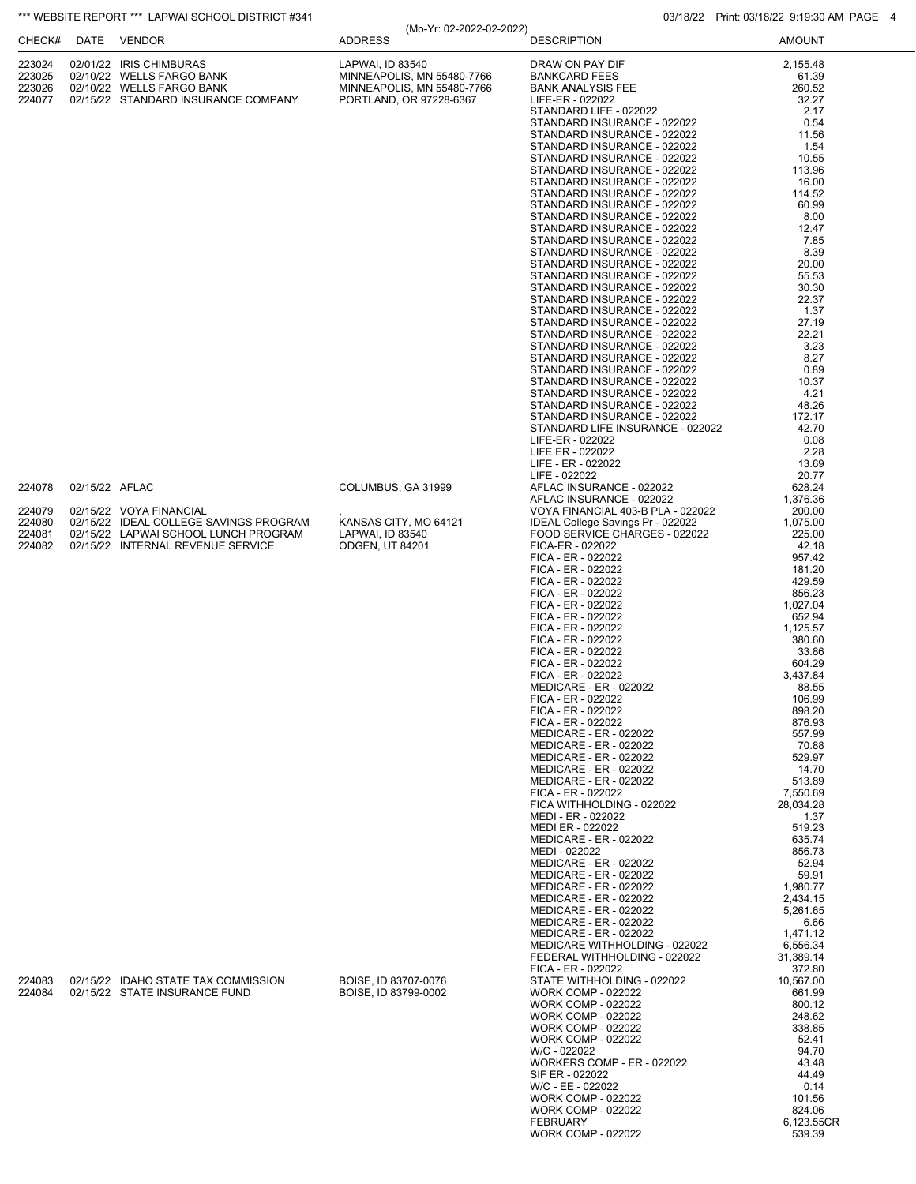|                                                |                | *** WEBSITE REPORT *** LAPWAI SCHOOL DISTRICT #341                                                                                             |                                                                                                         |                                                                                                                                                                                                                                                                                                                                                                                                                                                                                                                                                                                                                                                                                                                                                                                                                                                                                                                                                                                                                 | 03/18/22 Print: 03/18/22 9:19:30 AM PAGE 4                                                                                                                                                                                                                                                                                                 |
|------------------------------------------------|----------------|------------------------------------------------------------------------------------------------------------------------------------------------|---------------------------------------------------------------------------------------------------------|-----------------------------------------------------------------------------------------------------------------------------------------------------------------------------------------------------------------------------------------------------------------------------------------------------------------------------------------------------------------------------------------------------------------------------------------------------------------------------------------------------------------------------------------------------------------------------------------------------------------------------------------------------------------------------------------------------------------------------------------------------------------------------------------------------------------------------------------------------------------------------------------------------------------------------------------------------------------------------------------------------------------|--------------------------------------------------------------------------------------------------------------------------------------------------------------------------------------------------------------------------------------------------------------------------------------------------------------------------------------------|
| CHECK#                                         |                | DATE VENDOR                                                                                                                                    | (Mo-Yr: 02-2022-02-2022)<br><b>ADDRESS</b>                                                              | <b>DESCRIPTION</b>                                                                                                                                                                                                                                                                                                                                                                                                                                                                                                                                                                                                                                                                                                                                                                                                                                                                                                                                                                                              | <b>AMOUNT</b>                                                                                                                                                                                                                                                                                                                              |
| 223024<br>223025<br>223026<br>224077           |                | 02/01/22 IRIS CHIMBURAS<br>02/10/22 WELLS FARGO BANK<br>02/10/22 WELLS FARGO BANK<br>02/15/22 STANDARD INSURANCE COMPANY                       | LAPWAI, ID 83540<br>MINNEAPOLIS, MN 55480-7766<br>MINNEAPOLIS, MN 55480-7766<br>PORTLAND, OR 97228-6367 | DRAW ON PAY DIF<br><b>BANKCARD FEES</b><br><b>BANK ANALYSIS FEE</b><br>LIFE-ER - 022022<br>STANDARD LIFE - 022022<br>STANDARD INSURANCE - 022022<br>STANDARD INSURANCE - 022022<br>STANDARD INSURANCE - 022022<br>STANDARD INSURANCE - 022022<br>STANDARD INSURANCE - 022022<br>STANDARD INSURANCE - 022022<br>STANDARD INSURANCE - 022022<br>STANDARD INSURANCE - 022022<br>STANDARD INSURANCE - 022022<br>STANDARD INSURANCE - 022022<br>STANDARD INSURANCE - 022022<br>STANDARD INSURANCE - 022022<br>STANDARD INSURANCE - 022022<br>STANDARD INSURANCE - 022022<br>STANDARD INSURANCE - 022022<br>STANDARD INSURANCE - 022022<br>STANDARD INSURANCE - 022022<br>STANDARD INSURANCE - 022022<br>STANDARD INSURANCE - 022022<br>STANDARD INSURANCE - 022022<br>STANDARD INSURANCE - 022022<br>STANDARD INSURANCE - 022022<br>STANDARD INSURANCE - 022022<br>STANDARD INSURANCE - 022022<br>STANDARD INSURANCE - 022022<br>STANDARD INSURANCE - 022022<br>STANDARD LIFE INSURANCE - 022022<br>LIFE-ER - 022022 | 2,155.48<br>61.39<br>260.52<br>32.27<br>2.17<br>0.54<br>11.56<br>1.54<br>10.55<br>113.96<br>16.00<br>114.52<br>60.99<br>8.00<br>12.47<br>7.85<br>8.39<br>20.00<br>55.53<br>30.30<br>22.37<br>1.37<br>27.19<br>22.21<br>3.23<br>8.27<br>0.89<br>10.37<br>4.21<br>48.26<br>172.17<br>42.70<br>0.08                                           |
| 224078<br>224079<br>224080<br>224081<br>224082 | 02/15/22 AFLAC | 02/15/22 VOYA FINANCIAL<br>02/15/22 IDEAL COLLEGE SAVINGS PROGRAM<br>02/15/22 LAPWAI SCHOOL LUNCH PROGRAM<br>02/15/22 INTERNAL REVENUE SERVICE | COLUMBUS, GA 31999<br>KANSAS CITY, MO 64121<br>LAPWAI, ID 83540<br><b>ODGEN, UT 84201</b>               | LIFE ER - 022022<br>LIFE - ER - 022022<br>LIFE - 022022<br>AFLAC INSURANCE - 022022<br>AFLAC INSURANCE - 022022<br>VOYA FINANCIAL 403-B PLA - 022022<br>IDEAL College Savings Pr - 022022<br>FOOD SERVICE CHARGES - 022022<br>FICA-ER - 022022<br>FICA - ER - 022022<br>FICA - ER - 022022<br>FICA - ER - 022022<br>FICA - ER - 022022<br>FICA - ER - 022022<br>FICA - ER - 022022<br>FICA - ER - 022022<br>FICA - ER - 022022<br>FICA - ER - 022022<br>FICA - ER - 022022<br>FICA - ER - 022022<br><b>MEDICARE - ER - 022022</b><br>FICA - ER - 022022<br>FICA - ER - 022022<br>FICA - ER - 022022<br><b>MEDICARE - ER - 022022</b><br><b>MEDICARE - ER - 022022</b><br><b>MEDICARE - ER - 022022</b><br><b>MEDICARE - ER - 022022</b><br><b>MEDICARE - ER - 022022</b><br>FICA - ER - 022022<br>FICA WITHHOLDING - 022022<br>MEDI - ER - 022022<br>MEDI ER - 022022                                                                                                                                           | 2.28<br>13.69<br>20.77<br>628.24<br>1,376.36<br>200.00<br>1,075.00<br>225.00<br>42.18<br>957.42<br>181.20<br>429.59<br>856.23<br>1.027.04<br>652.94<br>1,125.57<br>380.60<br>33.86<br>604.29<br>3,437.84<br>88.55<br>106.99<br>898.20<br>876.93<br>557.99<br>70.88<br>529.97<br>14.70<br>513.89<br>7,550.69<br>28,034.28<br>1.37<br>519.23 |
| 224083<br>224084                               |                | 02/15/22 IDAHO STATE TAX COMMISSION<br>02/15/22 STATE INSURANCE FUND                                                                           | BOISE, ID 83707-0076<br>BOISE, ID 83799-0002                                                            | <b>MEDICARE - ER - 022022</b><br>MEDI - 022022<br>MEDICARE - ER - 022022<br><b>MEDICARE - ER - 022022</b><br><b>MEDICARE - ER - 022022</b><br><b>MEDICARE - ER - 022022</b><br><b>MEDICARE - ER - 022022</b><br><b>MEDICARE - ER - 022022</b><br><b>MEDICARE - ER - 022022</b><br>MEDICARE WITHHOLDING - 022022<br>FEDERAL WITHHOLDING - 022022<br>FICA - ER - 022022<br>STATE WITHHOLDING - 022022<br><b>WORK COMP - 022022</b><br><b>WORK COMP - 022022</b><br><b>WORK COMP - 022022</b><br><b>WORK COMP - 022022</b><br><b>WORK COMP - 022022</b><br>W/C - 022022<br><b>WORKERS COMP - ER - 022022</b><br>SIF ER - 022022<br>W/C - EE - 022022<br><b>WORK COMP - 022022</b><br><b>WORK COMP - 022022</b><br><b>FEBRUARY</b><br><b>WORK COMP - 022022</b>                                                                                                                                                                                                                                                     | 635.74<br>856.73<br>52.94<br>59.91<br>1,980.77<br>2,434.15<br>5,261.65<br>6.66<br>1,471.12<br>6,556.34<br>31,389.14<br>372.80<br>10,567.00<br>661.99<br>800.12<br>248.62<br>338.85<br>52.41<br>94.70<br>43.48<br>44.49<br>0.14<br>101.56<br>824.06<br>6,123.55CR<br>539.39                                                                 |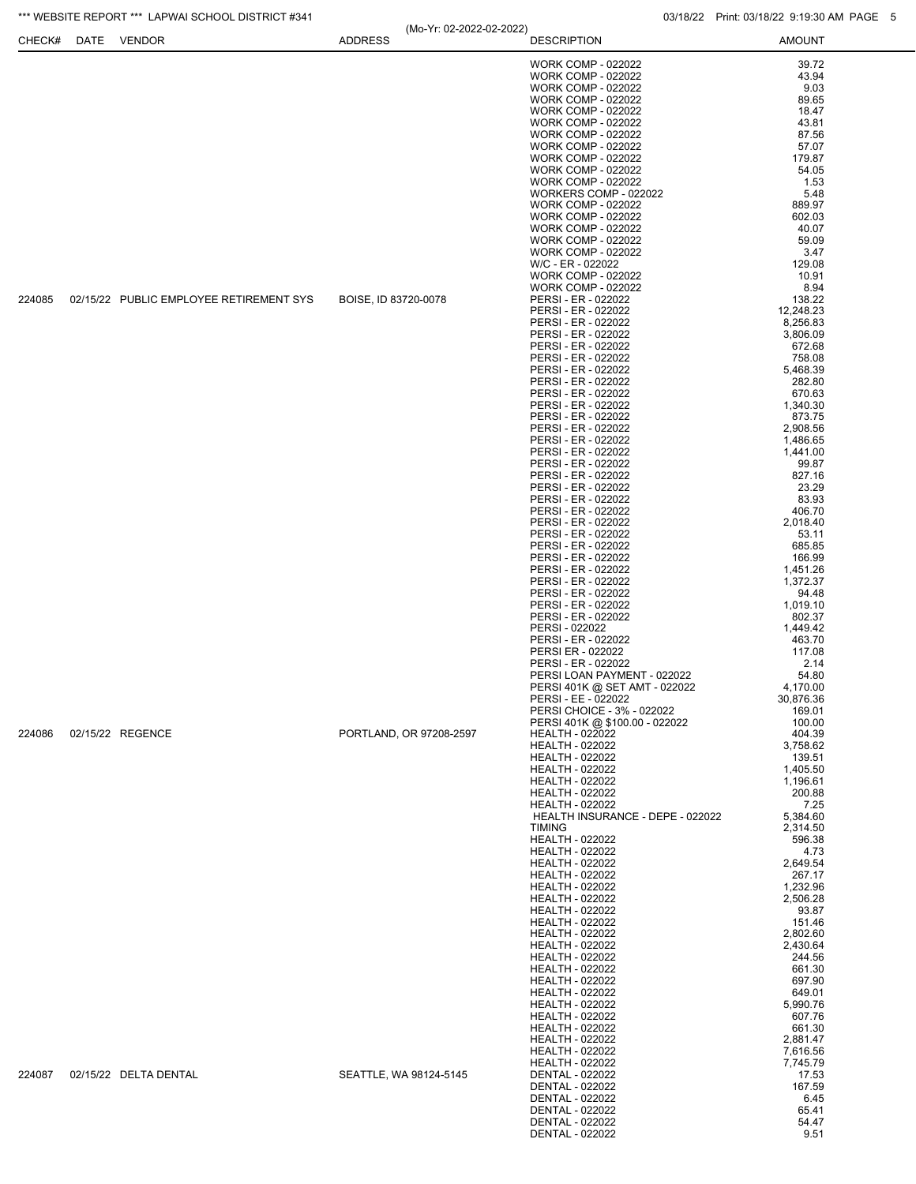| CHECK# | DATE | <b>VENDOR</b>                           | (IVIO- 11. UZ-ZUZZ-UZ-ZUZZ)<br><b>ADDRESS</b>                                                                                                                                                                                                                                                                                                                                                                                                                                                                                                                                                                                                                     | <b>DESCRIPTION</b>                                           | <b>AMOUNT</b>        |
|--------|------|-----------------------------------------|-------------------------------------------------------------------------------------------------------------------------------------------------------------------------------------------------------------------------------------------------------------------------------------------------------------------------------------------------------------------------------------------------------------------------------------------------------------------------------------------------------------------------------------------------------------------------------------------------------------------------------------------------------------------|--------------------------------------------------------------|----------------------|
|        |      |                                         |                                                                                                                                                                                                                                                                                                                                                                                                                                                                                                                                                                                                                                                                   | <b>WORK COMP - 022022</b>                                    | 39.72                |
|        |      |                                         |                                                                                                                                                                                                                                                                                                                                                                                                                                                                                                                                                                                                                                                                   | <b>WORK COMP - 022022</b>                                    | 43.94                |
|        |      |                                         |                                                                                                                                                                                                                                                                                                                                                                                                                                                                                                                                                                                                                                                                   | <b>WORK COMP - 022022</b>                                    | 9.03                 |
|        |      |                                         |                                                                                                                                                                                                                                                                                                                                                                                                                                                                                                                                                                                                                                                                   | <b>WORK COMP - 022022</b>                                    | 89.65                |
|        |      |                                         |                                                                                                                                                                                                                                                                                                                                                                                                                                                                                                                                                                                                                                                                   | <b>WORK COMP - 022022</b>                                    | 18.47                |
|        |      |                                         |                                                                                                                                                                                                                                                                                                                                                                                                                                                                                                                                                                                                                                                                   | <b>WORK COMP - 022022</b><br><b>WORK COMP - 022022</b>       | 43.81                |
|        |      |                                         |                                                                                                                                                                                                                                                                                                                                                                                                                                                                                                                                                                                                                                                                   | <b>WORK COMP - 022022</b>                                    | 87.56<br>57.07       |
|        |      |                                         |                                                                                                                                                                                                                                                                                                                                                                                                                                                                                                                                                                                                                                                                   | <b>WORK COMP - 022022</b>                                    | 179.87               |
|        |      |                                         |                                                                                                                                                                                                                                                                                                                                                                                                                                                                                                                                                                                                                                                                   | <b>WORK COMP - 022022</b>                                    | 54.05                |
|        |      |                                         |                                                                                                                                                                                                                                                                                                                                                                                                                                                                                                                                                                                                                                                                   | <b>WORK COMP - 022022</b>                                    | 1.53                 |
|        |      |                                         |                                                                                                                                                                                                                                                                                                                                                                                                                                                                                                                                                                                                                                                                   | WORKERS COMP - 022022                                        | 5.48                 |
|        |      |                                         |                                                                                                                                                                                                                                                                                                                                                                                                                                                                                                                                                                                                                                                                   | <b>WORK COMP - 022022</b><br><b>WORK COMP - 022022</b>       | 889.97<br>602.03     |
|        |      |                                         |                                                                                                                                                                                                                                                                                                                                                                                                                                                                                                                                                                                                                                                                   | <b>WORK COMP - 022022</b>                                    | 40.07                |
|        |      |                                         |                                                                                                                                                                                                                                                                                                                                                                                                                                                                                                                                                                                                                                                                   | <b>WORK COMP - 022022</b>                                    | 59.09                |
|        |      |                                         |                                                                                                                                                                                                                                                                                                                                                                                                                                                                                                                                                                                                                                                                   | <b>WORK COMP - 022022</b>                                    | 3.47                 |
|        |      |                                         |                                                                                                                                                                                                                                                                                                                                                                                                                                                                                                                                                                                                                                                                   | W/C - ER - 022022                                            | 129.08               |
|        |      |                                         |                                                                                                                                                                                                                                                                                                                                                                                                                                                                                                                                                                                                                                                                   | <b>WORK COMP - 022022</b><br><b>WORK COMP - 022022</b>       | 10.91<br>8.94        |
| 224085 |      | 02/15/22 PUBLIC EMPLOYEE RETIREMENT SYS | BOISE, ID 83720-0078                                                                                                                                                                                                                                                                                                                                                                                                                                                                                                                                                                                                                                              | PERSI - ER - 022022                                          | 138.22               |
|        |      |                                         |                                                                                                                                                                                                                                                                                                                                                                                                                                                                                                                                                                                                                                                                   | PERSI - ER - 022022                                          | 12,248.23            |
|        |      |                                         |                                                                                                                                                                                                                                                                                                                                                                                                                                                                                                                                                                                                                                                                   | PERSI - ER - 022022                                          | 8,256.83             |
|        |      |                                         |                                                                                                                                                                                                                                                                                                                                                                                                                                                                                                                                                                                                                                                                   | PERSI - ER - 022022                                          | 3,806.09             |
|        |      |                                         |                                                                                                                                                                                                                                                                                                                                                                                                                                                                                                                                                                                                                                                                   | PERSI - ER - 022022                                          | 672.68               |
|        |      |                                         | PERSI - ER - 022022<br>PERSI - ER - 022022<br>PERSI - ER - 022022<br>PERSI - ER - 022022<br>PERSI - ER - 022022<br>PERSI - ER - 022022<br>PERSI - ER - 022022<br>PERSI - ER - 022022<br>PERSI - ER - 022022<br>PERSI - ER - 022022<br>PERSI - ER - 022022<br>PERSI - ER - 022022<br>PERSI - ER - 022022<br>PERSI - ER - 022022<br>PERSI - ER - 022022<br>PERSI - ER - 022022<br>PERSI - ER - 022022<br>PERSI - ER - 022022<br>PERSI - ER - 022022<br>PERSI - ER - 022022<br>PERSI - ER - 022022<br>PERSI - ER - 022022<br>PERSI - ER - 022022<br>PERSI - 022022<br>PERSI - ER - 022022<br>PERSI ER - 022022<br>PERSI - ER - 022022<br>PERSI LOAN PAYMENT - 022022 |                                                              | 758.08<br>5,468.39   |
|        |      |                                         |                                                                                                                                                                                                                                                                                                                                                                                                                                                                                                                                                                                                                                                                   |                                                              | 282.80               |
|        |      |                                         |                                                                                                                                                                                                                                                                                                                                                                                                                                                                                                                                                                                                                                                                   |                                                              | 670.63               |
|        |      |                                         |                                                                                                                                                                                                                                                                                                                                                                                                                                                                                                                                                                                                                                                                   |                                                              | 1,340.30             |
|        |      |                                         |                                                                                                                                                                                                                                                                                                                                                                                                                                                                                                                                                                                                                                                                   |                                                              | 873.75               |
|        |      |                                         |                                                                                                                                                                                                                                                                                                                                                                                                                                                                                                                                                                                                                                                                   |                                                              | 2,908.56             |
|        |      |                                         |                                                                                                                                                                                                                                                                                                                                                                                                                                                                                                                                                                                                                                                                   |                                                              | 1,486.65<br>1,441.00 |
|        |      |                                         |                                                                                                                                                                                                                                                                                                                                                                                                                                                                                                                                                                                                                                                                   |                                                              | 99.87                |
|        |      |                                         |                                                                                                                                                                                                                                                                                                                                                                                                                                                                                                                                                                                                                                                                   |                                                              | 827.16               |
|        |      |                                         |                                                                                                                                                                                                                                                                                                                                                                                                                                                                                                                                                                                                                                                                   |                                                              | 23.29                |
|        |      |                                         |                                                                                                                                                                                                                                                                                                                                                                                                                                                                                                                                                                                                                                                                   |                                                              | 83.93                |
|        |      |                                         |                                                                                                                                                                                                                                                                                                                                                                                                                                                                                                                                                                                                                                                                   |                                                              | 406.70<br>2,018.40   |
|        |      |                                         |                                                                                                                                                                                                                                                                                                                                                                                                                                                                                                                                                                                                                                                                   |                                                              | 53.11                |
|        |      |                                         |                                                                                                                                                                                                                                                                                                                                                                                                                                                                                                                                                                                                                                                                   |                                                              | 685.85               |
|        |      |                                         |                                                                                                                                                                                                                                                                                                                                                                                                                                                                                                                                                                                                                                                                   |                                                              | 166.99               |
|        |      |                                         |                                                                                                                                                                                                                                                                                                                                                                                                                                                                                                                                                                                                                                                                   |                                                              | 1,451.26             |
|        |      |                                         |                                                                                                                                                                                                                                                                                                                                                                                                                                                                                                                                                                                                                                                                   |                                                              | 1,372.37<br>94.48    |
|        |      |                                         |                                                                                                                                                                                                                                                                                                                                                                                                                                                                                                                                                                                                                                                                   |                                                              | 1,019.10             |
|        |      |                                         |                                                                                                                                                                                                                                                                                                                                                                                                                                                                                                                                                                                                                                                                   |                                                              | 802.37               |
|        |      |                                         |                                                                                                                                                                                                                                                                                                                                                                                                                                                                                                                                                                                                                                                                   |                                                              | 1,449.42             |
|        |      |                                         |                                                                                                                                                                                                                                                                                                                                                                                                                                                                                                                                                                                                                                                                   |                                                              | 463.70<br>117.08     |
|        |      |                                         |                                                                                                                                                                                                                                                                                                                                                                                                                                                                                                                                                                                                                                                                   |                                                              | 2.14                 |
|        |      |                                         |                                                                                                                                                                                                                                                                                                                                                                                                                                                                                                                                                                                                                                                                   |                                                              | 54.80                |
|        |      |                                         |                                                                                                                                                                                                                                                                                                                                                                                                                                                                                                                                                                                                                                                                   | PERSI 401K @ SET AMT - 022022                                | 4,170.00             |
|        |      |                                         |                                                                                                                                                                                                                                                                                                                                                                                                                                                                                                                                                                                                                                                                   | PERSI - EE - 022022                                          | 30,876.36            |
|        |      |                                         |                                                                                                                                                                                                                                                                                                                                                                                                                                                                                                                                                                                                                                                                   | PERSI CHOICE - 3% - 022022<br>PERSI 401K @ \$100.00 - 022022 | 169.01<br>100.00     |
| 224086 |      | 02/15/22 REGENCE                        | PORTLAND, OR 97208-2597                                                                                                                                                                                                                                                                                                                                                                                                                                                                                                                                                                                                                                           | <b>HEALTH - 022022</b>                                       | 404.39               |
|        |      |                                         |                                                                                                                                                                                                                                                                                                                                                                                                                                                                                                                                                                                                                                                                   | <b>HEALTH - 022022</b>                                       | 3,758.62             |
|        |      |                                         |                                                                                                                                                                                                                                                                                                                                                                                                                                                                                                                                                                                                                                                                   | <b>HEALTH - 022022</b>                                       | 139.51               |
|        |      | 02/15/22 DELTA DENTAL                   |                                                                                                                                                                                                                                                                                                                                                                                                                                                                                                                                                                                                                                                                   | <b>HEALTH - 022022</b>                                       | 1,405.50             |
|        |      |                                         |                                                                                                                                                                                                                                                                                                                                                                                                                                                                                                                                                                                                                                                                   | <b>HEALTH - 022022</b><br><b>HEALTH - 022022</b>             | 1,196.61<br>200.88   |
|        |      |                                         |                                                                                                                                                                                                                                                                                                                                                                                                                                                                                                                                                                                                                                                                   | <b>HEALTH - 022022</b>                                       | 7.25                 |
|        |      |                                         |                                                                                                                                                                                                                                                                                                                                                                                                                                                                                                                                                                                                                                                                   | HEALTH INSURANCE - DEPE - 022022                             | 5,384.60             |
|        |      |                                         |                                                                                                                                                                                                                                                                                                                                                                                                                                                                                                                                                                                                                                                                   | <b>TIMING</b>                                                | 2,314.50             |
|        |      |                                         |                                                                                                                                                                                                                                                                                                                                                                                                                                                                                                                                                                                                                                                                   | <b>HEALTH - 022022</b>                                       | 596.38               |
|        |      |                                         |                                                                                                                                                                                                                                                                                                                                                                                                                                                                                                                                                                                                                                                                   | <b>HEALTH - 022022</b><br><b>HEALTH - 022022</b>             | 4.73<br>2,649.54     |
|        |      |                                         |                                                                                                                                                                                                                                                                                                                                                                                                                                                                                                                                                                                                                                                                   | <b>HEALTH - 022022</b>                                       | 267.17               |
|        |      |                                         |                                                                                                                                                                                                                                                                                                                                                                                                                                                                                                                                                                                                                                                                   | <b>HEALTH - 022022</b>                                       | 1,232.96             |
|        |      |                                         | SEATTLE, WA 98124-5145                                                                                                                                                                                                                                                                                                                                                                                                                                                                                                                                                                                                                                            | <b>HEALTH - 022022</b>                                       | 2,506.28             |
|        |      |                                         |                                                                                                                                                                                                                                                                                                                                                                                                                                                                                                                                                                                                                                                                   | <b>HEALTH - 022022</b><br><b>HEALTH - 022022</b>             | 93.87<br>151.46      |
|        |      |                                         |                                                                                                                                                                                                                                                                                                                                                                                                                                                                                                                                                                                                                                                                   | <b>HEALTH - 022022</b>                                       | 2,802.60             |
|        |      |                                         |                                                                                                                                                                                                                                                                                                                                                                                                                                                                                                                                                                                                                                                                   | <b>HEALTH - 022022</b>                                       | 2,430.64             |
|        |      |                                         |                                                                                                                                                                                                                                                                                                                                                                                                                                                                                                                                                                                                                                                                   | <b>HEALTH - 022022</b>                                       | 244.56               |
|        |      |                                         |                                                                                                                                                                                                                                                                                                                                                                                                                                                                                                                                                                                                                                                                   | <b>HEALTH - 022022</b><br><b>HEALTH - 022022</b>             | 661.30<br>697.90     |
|        |      |                                         |                                                                                                                                                                                                                                                                                                                                                                                                                                                                                                                                                                                                                                                                   | <b>HEALTH - 022022</b>                                       | 649.01               |
|        |      |                                         |                                                                                                                                                                                                                                                                                                                                                                                                                                                                                                                                                                                                                                                                   | <b>HEALTH - 022022</b>                                       | 5,990.76             |
|        |      |                                         |                                                                                                                                                                                                                                                                                                                                                                                                                                                                                                                                                                                                                                                                   | <b>HEALTH - 022022</b>                                       | 607.76               |
|        |      |                                         |                                                                                                                                                                                                                                                                                                                                                                                                                                                                                                                                                                                                                                                                   | <b>HEALTH - 022022</b>                                       | 661.30               |
|        |      |                                         |                                                                                                                                                                                                                                                                                                                                                                                                                                                                                                                                                                                                                                                                   | <b>HEALTH - 022022</b><br><b>HEALTH - 022022</b>             | 2,881.47<br>7,616.56 |
|        |      |                                         |                                                                                                                                                                                                                                                                                                                                                                                                                                                                                                                                                                                                                                                                   | <b>HEALTH - 022022</b>                                       | 7,745.79             |
| 224087 |      |                                         |                                                                                                                                                                                                                                                                                                                                                                                                                                                                                                                                                                                                                                                                   | DENTAL - 022022                                              | 17.53                |
|        |      |                                         |                                                                                                                                                                                                                                                                                                                                                                                                                                                                                                                                                                                                                                                                   | DENTAL - 022022                                              | 167.59               |
|        |      |                                         |                                                                                                                                                                                                                                                                                                                                                                                                                                                                                                                                                                                                                                                                   | DENTAL - 022022<br>DENTAL - 022022                           | 6.45<br>65.41        |
|        |      |                                         |                                                                                                                                                                                                                                                                                                                                                                                                                                                                                                                                                                                                                                                                   | DENTAL - 022022                                              | 54.47                |
|        |      |                                         |                                                                                                                                                                                                                                                                                                                                                                                                                                                                                                                                                                                                                                                                   | DENTAL - 022022                                              | 9.51                 |

(Mo-Yr: 02-2022-02-2022)

\*\*\* WEBSITE REPORT \*\*\* LAPWAI SCHOOL DISTRICT #341 03/18/22 Print: 03/18/22 Print: 03/18/22 9:19:30 AM PAGE 5